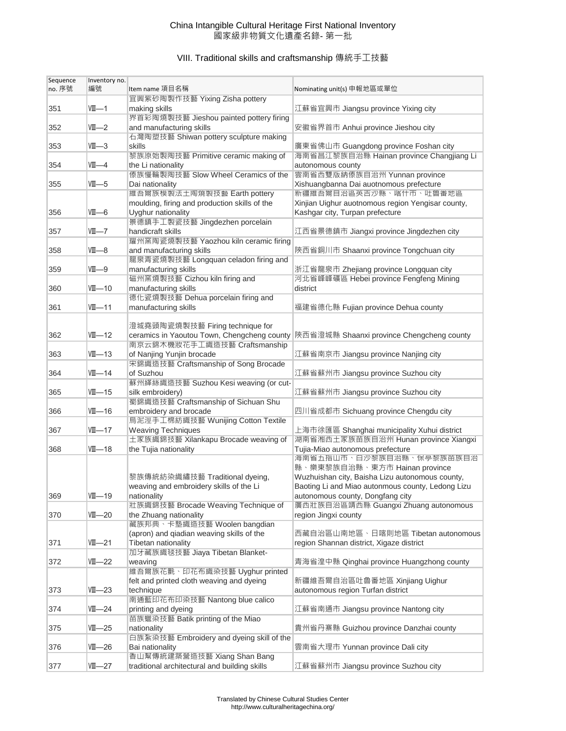## China Intangible Cultural Heritage First National Inventory 國家級非物質文化遺產名錄- 第一批

# VIII. Traditional skills and craftsmanship 傳統手工技藝

| Sequence | Inventory no. |                                               |                                                   |
|----------|---------------|-----------------------------------------------|---------------------------------------------------|
| no. 序號   | 編號            | Item name 項目名稱                                | Nominating unit(s) 申報地區或單位                        |
|          |               | 宜興紫砂陶製作技藝 Yixing Zisha pottery                |                                                   |
| 351      | $VII - 1$     | making skills                                 | 江蘇省宜興市 Jiangsu province Yixing city               |
|          |               | 界首彩陶燒製技藝 Jieshou painted pottery firing       |                                                   |
| 352      | VIII—2        | and manufacturing skills                      | 安徽省界首市 Anhui province Jieshou city                |
|          |               | 石灣陶塑技藝 Shiwan pottery sculpture making        |                                                   |
|          |               |                                               |                                                   |
| 353      | $VII - 3$     | skills                                        | 廣東省佛山市 Guangdong province Foshan city             |
|          |               | 黎族原始製陶技藝 Primitive ceramic making of          | 海南省昌江黎族自治縣 Hainan province Changjiang Li          |
| 354      | $VII-4$       | the Li nationality                            | autonomous county                                 |
|          |               | 傣族慢輪製陶技藝 Slow Wheel Ceramics of the           | 雲南省西雙版納傣族自治州 Yunnan province                      |
| 355      | $VII - 5$     | Dai nationality                               | Xishuangbanna Dai auotnomous prefecture           |
|          |               | 維吾爾族模製法土陶燒製技藝 Earth pottery                   | 新疆維吾爾自治區英吉沙縣、喀什市、吐魯番地區                            |
|          |               | moulding, firing and production skills of the | Xinjian Uighur auotnomous region Yengisar county, |
| 356      | $VII - 6$     | Uyghur nationality                            | Kashgar city, Turpan prefecture                   |
|          |               | 景德鎮手工製瓷技藝 Jingdezhen porcelain                |                                                   |
|          |               |                                               |                                                   |
| 357      | $VII$ -7      | handicraft skills                             | 江西省景德鎮市 Jiangxi province Jingdezhen city          |
|          |               | 耀州窯陶瓷燒製技藝 Yaozhou kiln ceramic firing         |                                                   |
| 358      | VIII—8        | and manufacturing skills                      | 陝西省銅川市 Shaanxi province Tongchuan city            |
|          |               | 龍泉青瓷燒製技藝 Longquan celadon firing and          |                                                   |
| 359      | VIII—9        | manufacturing skills                          | 浙江省龍泉市 Zhejiang province Longquan city            |
|          |               | 磁州窯燒製技藝 Cizhou kiln firing and                | 河北省峰峰礦區 Hebei province Fengfeng Mining            |
| 360      | $VII$ —10     | manufacturing skills                          | district                                          |
|          |               | 德化瓷燒製技藝 Dehua porcelain firing and            |                                                   |
|          | $VII - 11$    |                                               | 福建省德化縣 Fujian province Dehua county               |
| 361      |               | manufacturing skills                          |                                                   |
|          |               |                                               |                                                   |
|          |               | 澄城堯頭陶瓷燒製技藝 Firing technique for               |                                                   |
| 362      | $VII - 12$    | ceramics in Yaoutou Town, Chengcheng county   | 陝西省澄城縣 Shaanxi province Chengcheng county         |
|          |               | 南京云錦木機妝花手工織造技藝 Craftsmanship                  |                                                   |
| 363      | VII—13        | of Nanjing Yunjin brocade                     | 江蘇省南京市 Jiangsu province Nanjing city              |
|          |               | 宋錦織造技藝 Craftsmanship of Song Brocade          |                                                   |
| 364      | VIII—14       | of Suzhou                                     | 江蘇省蘇州市 Jiangsu province Suzhou city               |
|          |               | 蘇州緙絲織造技藝 Suzhou Kesi weaving (or cut-         |                                                   |
| 365      | $VII$ —15     | silk embroidery)                              | 江蘇省蘇州市 Jiangsu province Suzhou city               |
|          |               |                                               |                                                   |
|          |               | 蜀錦織造技藝 Craftsmanship of Sichuan Shu           |                                                   |
| 366      | VIII—16       | embroidery and brocade                        | 四川省成都市 Sichuang province Chengdu city             |
|          |               | 烏泥涇手工棉紡織技藝 Wunijing Cotton Textile            |                                                   |
| 367      | $VII$ —17     | <b>Weaving Techniques</b>                     | 上海市徐匯區 Shanghai municipality Xuhui district       |
|          |               | 土冢族織錦技藝 Xilankapu Brocade weaving of          | 湖南省湘西土家族苗族自治州 Hunan province Xiangxi              |
| 368      | VIII—18       | the Tujia nationality                         | Tujia-Miao autonomous prefecture                  |
|          |               |                                               | 海南省五指山币、白沙黎族目治縣、保亭黎族苗族目治                          |
|          |               |                                               | 縣、樂東黎族自治縣、東方市 Hainan province                     |
|          |               | 黎族傳統紡染織繡技藝 Traditional dyeing,                | Wuzhuishan city, Baisha Lizu autonomous county,   |
|          |               | weaving and embroidery skills of the Li       |                                                   |
|          |               |                                               | Baoting Li and Miao autonmous county, Ledong Lizu |
| 369      | $VII - 19$    | nationality                                   | autonomous county, Dongfang city                  |
|          |               | 壯族織錦技藝 Brocade Weaving Technique of           | 廣西壯族自治區靖西縣 Guangxi Zhuang autonomous              |
| 370      | VIII—20       | the Zhuang nationality                        | region Jingxi county                              |
|          |               | 藏族邦典、卡墊織造技藝 Woolen bangdian                   |                                                   |
|          |               | (apron) and qiadian weaving skills of the     | 西藏自治區山南地區、日喀則地區 Tibetan autonomous                |
| 371      | $VII - 21$    | Tibetan nationality                           | region Shannan district, Xigaze district          |
|          |               | 加牙藏族織毯技藝 Jiaya Tibetan Blanket-               |                                                   |
| 372      | $VII - 22$    | weaving                                       | 青海省湟中縣 Qinghai province Huangzhong county         |
|          |               | 維吾爾族花氈、印花布織染技藝 Uyghur printed                 |                                                   |
|          |               | felt and printed cloth weaving and dyeing     | 新疆維吾爾自治區吐魯番地區 Xinjiang Uighur                     |
|          |               |                                               |                                                   |
| 373      | $VII - 23$    | technique                                     | autonomous region Turfan district                 |
|          |               | 南通藍印花布印染技藝 Nantong blue calico                |                                                   |
| 374      | $VII - 24$    | printing and dyeing                           | 江蘇省南通市 Jiangsu province Nantong city              |
|          |               | 苗族蠟染技藝 Batik printing of the Miao             |                                                   |
| 375      | $VII - 25$    | nationality                                   | 貴州省丹寨縣 Guizhou province Danzhai county            |
|          |               | 白族紮染技藝 Embroidery and dyeing skill of the     |                                                   |
| 376      | $VII - 26$    | Bai nationality                               | 雲南省大理市 Yunnan province Dali city                  |
|          |               | 香山幫傳統建築營造技藝 Xiang Shan Bang                   |                                                   |
| 377      | $VII - 27$    | traditional architectural and building skills | 江蘇省蘇州市 Jiangsu province Suzhou city               |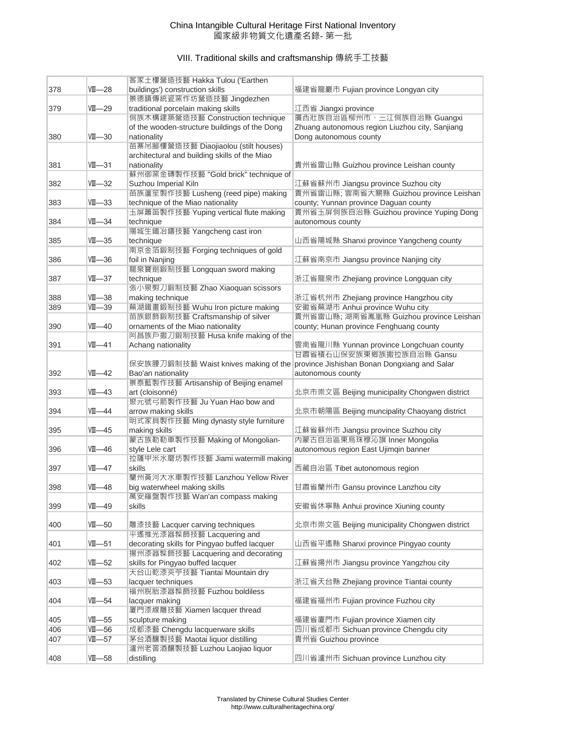## China Intangible Cultural Heritage First National Inventory 國家級非物質文化遺產名錄- 第一批

# VIII. Traditional skills and craftsmanship 傳統手工技藝

|     |            | 客家土樓營造技藝 Hakka Tulou ('Earthen                                        |                                                                            |
|-----|------------|-----------------------------------------------------------------------|----------------------------------------------------------------------------|
| 378 | VIII—28    | buildings') construction skills                                       | 福建省龍巖市 Fujian province Longyan city                                        |
|     |            | 景德鎮傳統瓷窯作坊營造技藝 Jingdezhen                                              |                                                                            |
| 379 | $VII - 29$ | traditional porcelain making skills                                   | 江西省 Jiangxi province                                                       |
|     |            | 侗族木構建築營造技藝 Construction technique                                     | 廣西壯族自治區柳州市、三江侗族自治縣 Guangxi                                                 |
|     |            | of the wooden-structure buildings of the Dong                         | Zhuang autonomous region Liuzhou city, Sanjiang                            |
| 380 | $VII$ —30  | nationality                                                           | Dong autonomous county                                                     |
|     |            | 苗寨吊腳樓營造技藝 Diaojiaolou (stilt houses)                                  |                                                                            |
|     |            | architectural and building skills of the Miao                         |                                                                            |
| 381 | $VII$ —31  | nationality                                                           | 貴州省雷山縣 Guizhou province Leishan county                                     |
|     |            | 蘇州御窯金磚製作技藝 "Gold brick" technique of                                  |                                                                            |
| 382 | VIII—32    | Suzhou Imperial Kiln                                                  | 江蘇省蘇州市 Jiangsu province Suzhou city                                        |
|     |            | 苗族蘆笙製作技藝 Lusheng (reed pipe) making                                   | 貴州省雷山縣; 雲南省大關縣 Guizhou province Leishan                                    |
| 383 | VIII—33    | technique of the Miao nationality                                     | county; Yunnan province Daguan county                                      |
|     |            | 圡屏簫笛製作技藝 Yuping vertical flute making                                 | 貴州省玉屏侗族自治縣 Guizhou province Yuping Dong                                    |
| 384 | $VII$ —34  | technique                                                             | autonomous county                                                          |
|     |            | 陽城生鐵冶鑄技藝 Yangcheng cast iron                                          |                                                                            |
| 385 | $VII - 35$ | technique                                                             | 山西省陽城縣 Shanxi province Yangcheng county                                    |
|     |            | 南京金箔鍛制技藝 Forging techniques of gold                                   |                                                                            |
| 386 | $VII$ —36  | foil in Nanjing                                                       | 江蘇省南京市 Jiangsu province Nanjing city                                       |
|     |            | 龍泉寶劍鍛制技藝 Longquan sword making                                        |                                                                            |
| 387 | VIII—37    | technique                                                             | 浙江省龍泉市 Zhejiang province Longquan city                                     |
|     |            | 張小泉剪刀鍛制技藝 Zhao Xiaoquan scissors                                      |                                                                            |
| 388 | $VII - 38$ | making technique                                                      | 浙江省杭州市 Zhejiang province Hangzhou city                                     |
| 389 | $VII - 39$ | 蕪湖鐵畫鍛制技藝 Wuhu Iron picture making<br>苗族銀飾鍛制技藝 Craftsmanship of silver | 安徽省蕪湖市 Anhui province Wuhu city<br>貴州省雷山縣; 湖南省鳳凰縣 Guizhou province Leishan |
| 390 | VIII—40    | ornaments of the Miao nationality                                     | county; Hunan province Fenghuang county                                    |
|     |            | 阿昌族戶撒刀鍛制技藝 Husa knife making of the                                   |                                                                            |
| 391 | VIII—41    | Achang nationality                                                    | 雲南省隴川縣 Yunnan province Longchuan county                                    |
|     |            |                                                                       | 甘肅省積石山保安族東鄉族撒拉族自治縣 Gansu                                                   |
|     |            | 保安族腰刀鍛制技藝 Waist knives making of the                                  | province Jishishan Bonan Dongxiang and Salar                               |
| 392 | VIII—42    | Bao'an nationality                                                    | autonomous county                                                          |
|     |            | 景泰藍製作技藝 Artisanship of Beijing enamel                                 |                                                                            |
| 393 | VIII—43    | art (cloisonné)                                                       | 北京市崇文區 Beijing municipality Chongwen district                              |
|     |            | 聚元號弓箭製作技藝 Ju Yuan Hao bow and                                         |                                                                            |
| 394 | VIII—44    | arrow making skills                                                   | 北京市朝陽區 Beijing muncipality Chaoyang district                               |
|     |            | 明式家具製作技藝 Ming dynasty style furniture                                 |                                                                            |
| 395 | VIII—45    | making skills                                                         | 江蘇省蘇州市 Jiangsu province Suzhou city                                        |
|     |            | 蒙古族勒勒車製作技藝 Making of Mongolian-                                       | 內蒙古自治區東烏珠穆沁旗 Inner Mongolia                                                |
| 396 | VIII—46    | style Lele cart                                                       | autonomous region East Ujimqin banner                                      |
|     |            | 拉薩甲米水磨坊製作技藝 Jiami watermill making                                    |                                                                            |
| 397 | VIII—47    | skills<br>蘭州黃河大水車製作技藝 Lanzhou Yellow River                            | 西藏自治區 Tibet autonomous region                                              |
| 398 | $VII - 48$ | big waterwheel making skills                                          | 甘肅省蘭州市 Gansu province Lanzhou city                                         |
|     |            | 萬安羅盤製作技藝 Wan'an compass making                                        |                                                                            |
| 399 | VIII—49    | skills                                                                | 安徽省休寧縣 Anhui province Xiuning county                                       |
|     |            |                                                                       |                                                                            |
| 400 | $VII - 50$ | 雕漆技藝 Lacquer carving techniques                                       | 北京市崇文區 Beijing municipality Chongwen district                              |
|     |            | 平遙推光漆器髹飾技藝 Lacquering and                                             |                                                                            |
| 401 | $VII$ —51  | decorating skills for Pingyao buffed lacquer                          | 山西省平遙縣 Shanxi province Pingyao county                                      |
|     |            | 揚州漆器髹飾技藝 Lacquering and decorating                                    |                                                                            |
| 402 | $VII$ —52  | skills for Pingyao buffed lacquer                                     | 江蘇省揚州市 Jiangsu province Yangzhou city                                      |
|     |            | 天台山乾漆夾苧技藝 Tiantai Mountain dry                                        |                                                                            |
| 403 | $VII$ —53  | lacquer techniques                                                    | 浙江省天台縣 Zhejiang province Tiantai county                                    |
|     |            | 福州脫胎漆器髹飾技藝 Fuzhou boldiless                                           |                                                                            |
| 404 | $VII - 54$ | lacquer making                                                        | 福建省福州市 Fujian province Fuzhou city                                         |
|     |            | 厦門漆線雕技藝 Xiamen lacquer thread                                         |                                                                            |
| 405 | $VII$ —55  | sculpture making                                                      | 福建省廈門市 Fujian province Xiamen city                                         |
| 406 | $VII - 56$ | 成都漆藝 Chengdu lacquerware skills                                       | 四川省成都市 Sichuan province Chengdu city                                       |
| 407 | $VII - 57$ | 茅台酒釀製技藝 Maotai liquor distilling                                      | 貴州省 Guizhou province                                                       |
|     |            | 瀘州老窖酒釀製技藝 Luzhou Laojiao liquor                                       |                                                                            |
| 408 | $VII - 58$ | distilling                                                            | 四川省瀘州市 Sichuan province Lunzhou city                                       |